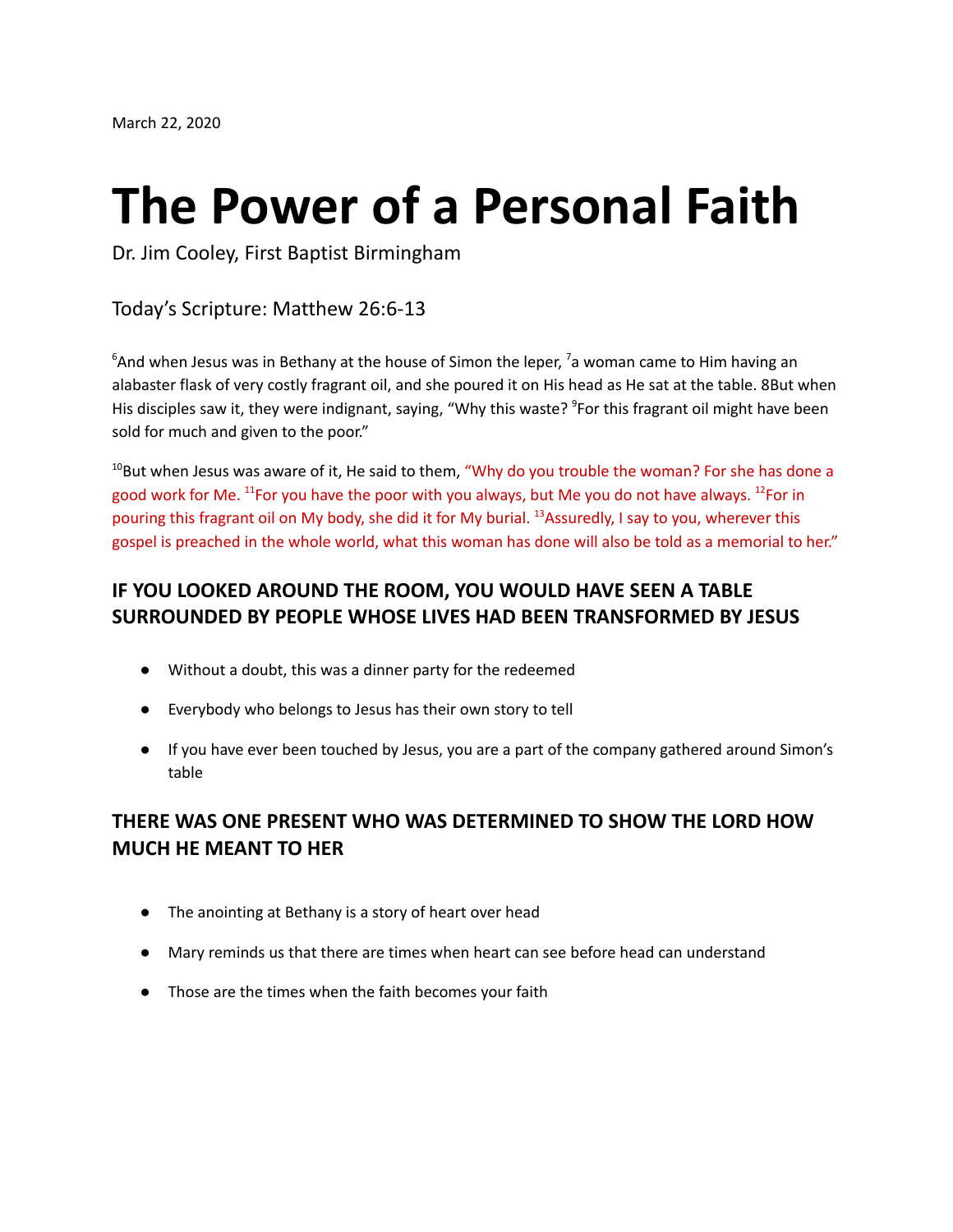# **The Power of a Personal Faith**

Dr. Jim Cooley, First Baptist Birmingham

Today's Scripture: Matthew 26:6-13

 ${}^6$ And when Jesus was in Bethany at the house of Simon the leper, <sup>7</sup>a woman came to Him having an alabaster flask of very costly fragrant oil, and she poured it on His head as He sat at the table. 8But when His disciples saw it, they were indignant, saying, "Why this waste? <sup>9</sup>For this fragrant oil might have been sold for much and given to the poor."

 $10$ But when Jesus was aware of it, He said to them, "Why do you trouble the woman? For she has done a good work for Me. <sup>11</sup>For you have the poor with you always, but Me you do not have always. <sup>12</sup>For in pouring this fragrant oil on My body, she did it for My burial. <sup>13</sup>Assuredly, I say to you, wherever this gospel is preached in the whole world, what this woman has done will also be told as a memorial to her."

### **IF YOU LOOKED AROUND THE ROOM, YOU WOULD HAVE SEEN A TABLE SURROUNDED BY PEOPLE WHOSE LIVES HAD BEEN TRANSFORMED BY JESUS**

- Without a doubt, this was a dinner party for the redeemed
- Everybody who belongs to Jesus has their own story to tell
- If you have ever been touched by Jesus, you are a part of the company gathered around Simon's table

### **THERE WAS ONE PRESENT WHO WAS DETERMINED TO SHOW THE LORD HOW MUCH HE MEANT TO HER**

- The anointing at Bethany is a story of heart over head
- Mary reminds us that there are times when heart can see before head can understand
- Those are the times when the faith becomes your faith